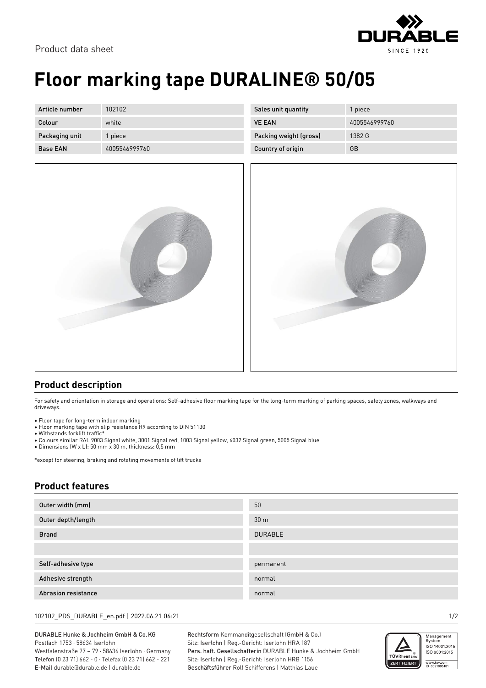

## **Floor marking tape DURALINE® 50/05**

| Article number  | 102102        |
|-----------------|---------------|
| Colour          | white         |
| Packaging unit  | 1 piece       |
| <b>Base FAN</b> | 4005546999760 |



| Sales unit quantity    | 1 piece       |
|------------------------|---------------|
| <b>VE FAN</b>          | 4005546999760 |
| Packing weight (gross) | 1382 G        |
| Country of origin      | GB            |



## **Product description**

For safety and orientation in storage and operations: Self-adhesive floor marking tape for the long-term marking of parking spaces, safety zones, walkways and driveways.

- Floor tape for long-term indoor marking
- Floor marking tape with slip resistance R9 according to DIN 51130
- Withstands forklift traffic\*
- Colours similar RAL 9003 Signal white, 3001 Signal red, 1003 Signal yellow, 6032 Signal green, 5005 Signal blue
- Dimensions (W x L): 50 mm x 30 m, thickness: 0,5 mm

\*except for steering, braking and rotating movements of lift trucks

## **Product features**

| Outer width (mm)           | 50              |
|----------------------------|-----------------|
| Outer depth/length         | 30 <sub>m</sub> |
| <b>Brand</b>               | <b>DURABLE</b>  |
|                            |                 |
| Self-adhesive type         | permanent       |
| Adhesive strength          | normal          |
| <b>Abrasion resistance</b> | normal          |

102102\_PDS\_DURABLE\_en.pdf | 2022.06.21 06:21 1/2

DURABLE Hunke & Jochheim GmbH & Co.KG Postfach 1753 · 58634 Iserlohn Westfalenstraße 77 – 79 · 58636 Iserlohn · Germany Telefon (0 23 71) 662 - 0 · Telefax (0 23 71) 662 - 221 E-Mail durable@durable.de | durable.de

Rechtsform Kommanditgesellschaft (GmbH & Co.) Sitz: Iserlohn | Reg.-Gericht: Iserlohn HRA 187 Pers. haft. Gesellschafterin DURABLE Hunke & Jochheim GmbH Sitz: Iserlohn | Reg.-Gericht: Iserlohn HRB 1156 Geschäftsführer Rolf Schifferens | Matthias Laue